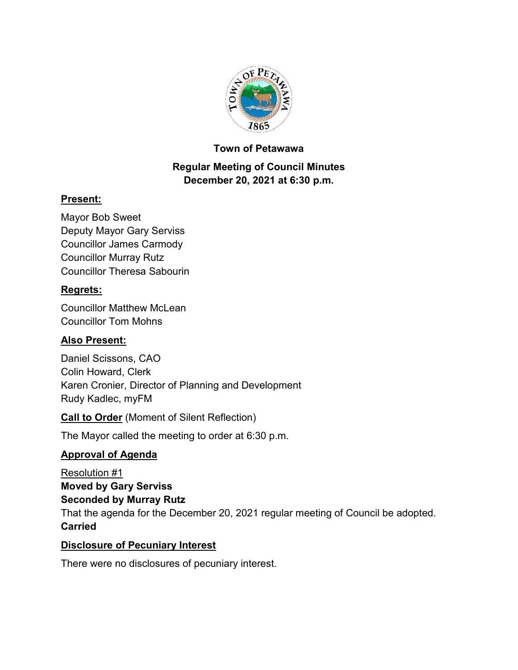

## **Town of Petawawa**

# **Regular Meeting of Council Minutes December 20, 2021 at 6:30 p.m.**

# **Present:**

Mayor Bob Sweet Deputy Mayor Gary Serviss Councillor James Carmody Councillor Murray Rutz Councillor Theresa Sabourin

## **Regrets:**

Councillor Matthew McLean Councillor Tom Mohns

#### **Also Present:**

Daniel Scissons, CAO Colin Howard, Clerk Karen Cronier, Director of Planning and Development Rudy Kadlec, myFM

#### **Call to Order** (Moment of Silent Reflection)

The Mayor called the meeting to order at 6:30 p.m.

#### **Approval of Agenda**

Resolution #1 **Moved by Gary Serviss Seconded by Murray Rutz** That the agenda for the December 20, 2021 regular meeting of Council be adopted. **Carried**

#### **Disclosure of Pecuniary Interest**

There were no disclosures of pecuniary interest.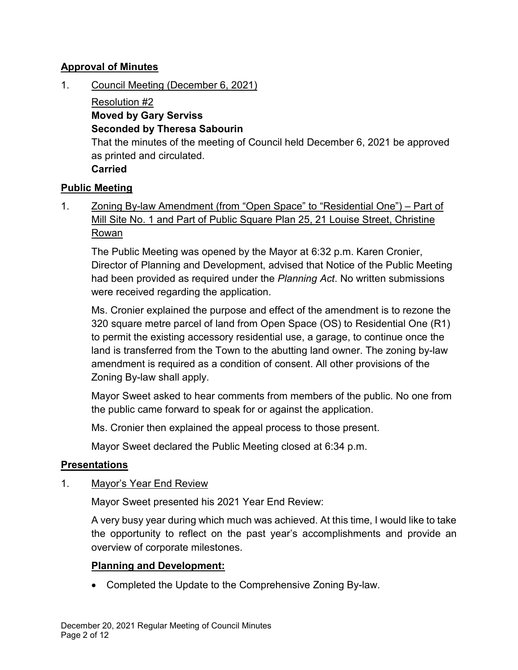## **Approval of Minutes**

1. Council Meeting (December 6, 2021)

Resolution #2 **Moved by Gary Serviss Seconded by Theresa Sabourin** That the minutes of the meeting of Council held December 6, 2021 be approved as printed and circulated. **Carried**

## **Public Meeting**

1. Zoning By-law Amendment (from "Open Space" to "Residential One") – Part of Mill Site No. 1 and Part of Public Square Plan 25, 21 Louise Street, Christine Rowan

The Public Meeting was opened by the Mayor at 6:32 p.m. Karen Cronier, Director of Planning and Development, advised that Notice of the Public Meeting had been provided as required under the *Planning Act*. No written submissions were received regarding the application.

Ms. Cronier explained the purpose and effect of the amendment is to rezone the 320 square metre parcel of land from Open Space (OS) to Residential One (R1) to permit the existing accessory residential use, a garage, to continue once the land is transferred from the Town to the abutting land owner. The zoning by-law amendment is required as a condition of consent. All other provisions of the Zoning By-law shall apply.

Mayor Sweet asked to hear comments from members of the public. No one from the public came forward to speak for or against the application.

Ms. Cronier then explained the appeal process to those present.

Mayor Sweet declared the Public Meeting closed at 6:34 p.m.

#### **Presentations**

1. Mayor's Year End Review

Mayor Sweet presented his 2021 Year End Review:

A very busy year during which much was achieved. At this time, I would like to take the opportunity to reflect on the past year's accomplishments and provide an overview of corporate milestones.

#### **Planning and Development:**

· Completed the Update to the Comprehensive Zoning By-law.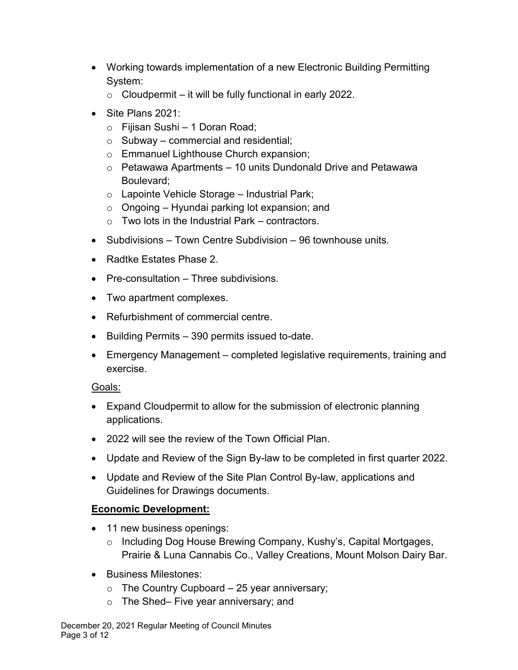- · Working towards implementation of a new Electronic Building Permitting System:
	- $\circ$  Cloudpermit it will be fully functional in early 2022.
- Site Plans 2021:
	- o Fijisan Sushi 1 Doran Road;
	- $\circ$  Subway commercial and residential;
	- o Emmanuel Lighthouse Church expansion;
	- $\circ$  Petawawa Apartments 10 units Dundonald Drive and Petawawa Boulevard;
	- o Lapointe Vehicle Storage Industrial Park;
	- $\circ$  Ongoing Hyundai parking lot expansion; and
	- $\circ$  Two lots in the Industrial Park contractors.
- Subdivisions Town Centre Subdivision 96 townhouse units.
- · Radtke Estates Phase 2.
- · Pre-consultation Three subdivisions.
- · Two apartment complexes.
- · Refurbishment of commercial centre.
- · Building Permits 390 permits issued to-date.
- · Emergency Management completed legislative requirements, training and exercise.

#### Goals:

- · Expand Cloudpermit to allow for the submission of electronic planning applications.
- · 2022 will see the review of the Town Official Plan.
- · Update and Review of the Sign By-law to be completed in first quarter 2022.
- · Update and Review of the Site Plan Control By-law, applications and Guidelines for Drawings documents.

# **Economic Development:**

- 11 new business openings:
	- o Including Dog House Brewing Company, Kushy's, Capital Mortgages, Prairie & Luna Cannabis Co., Valley Creations, Mount Molson Dairy Bar.
- · Business Milestones:
	- $\circ$  The Country Cupboard 25 year anniversary;
	- o The Shed– Five year anniversary; and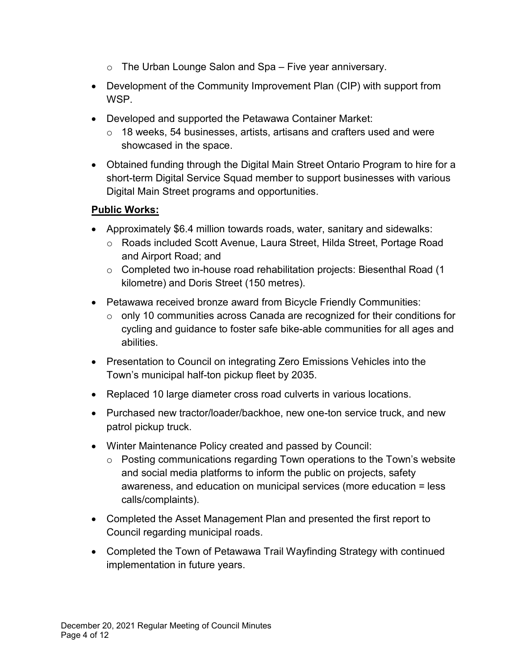- $\circ$  The Urban Lounge Salon and Spa Five year anniversary.
- · Development of the Community Improvement Plan (CIP) with support from WSP.
- · Developed and supported the Petawawa Container Market:
	- o 18 weeks, 54 businesses, artists, artisans and crafters used and were showcased in the space.
- · Obtained funding through the Digital Main Street Ontario Program to hire for a short-term Digital Service Squad member to support businesses with various Digital Main Street programs and opportunities.

## **Public Works:**

- · Approximately \$6.4 million towards roads, water, sanitary and sidewalks:
	- o Roads included Scott Avenue, Laura Street, Hilda Street, Portage Road and Airport Road; and
	- o Completed two in-house road rehabilitation projects: Biesenthal Road (1 kilometre) and Doris Street (150 metres).
- · Petawawa received bronze award from Bicycle Friendly Communities:
	- o only 10 communities across Canada are recognized for their conditions for cycling and guidance to foster safe bike-able communities for all ages and abilities.
- · Presentation to Council on integrating Zero Emissions Vehicles into the Town's municipal half-ton pickup fleet by 2035.
- · Replaced 10 large diameter cross road culverts in various locations.
- · Purchased new tractor/loader/backhoe, new one-ton service truck, and new patrol pickup truck.
- · Winter Maintenance Policy created and passed by Council:
	- o Posting communications regarding Town operations to the Town's website and social media platforms to inform the public on projects, safety awareness, and education on municipal services (more education = less calls/complaints).
- · Completed the Asset Management Plan and presented the first report to Council regarding municipal roads.
- · Completed the Town of Petawawa Trail Wayfinding Strategy with continued implementation in future years.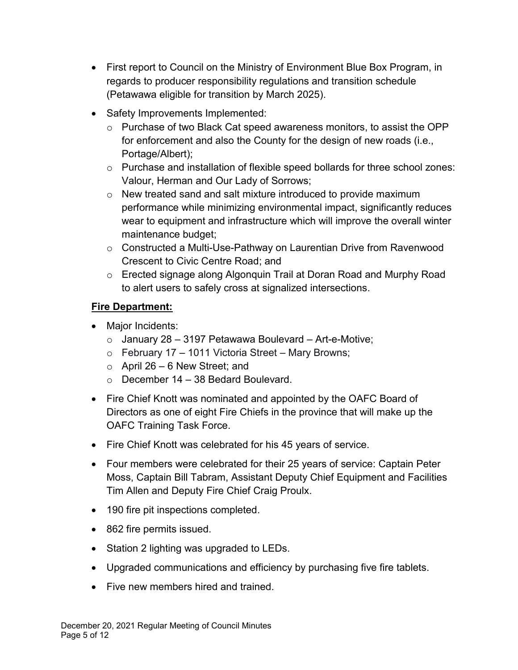- · First report to Council on the Ministry of Environment Blue Box Program, in regards to producer responsibility regulations and transition schedule (Petawawa eligible for transition by March 2025).
- · Safety Improvements Implemented:
	- $\circ$  Purchase of two Black Cat speed awareness monitors, to assist the OPP for enforcement and also the County for the design of new roads (i.e., Portage/Albert);
	- o Purchase and installation of flexible speed bollards for three school zones: Valour, Herman and Our Lady of Sorrows;
	- o New treated sand and salt mixture introduced to provide maximum performance while minimizing environmental impact, significantly reduces wear to equipment and infrastructure which will improve the overall winter maintenance budget;
	- $\circ$  Constructed a Multi-Use-Pathway on Laurentian Drive from Ravenwood Crescent to Civic Centre Road; and
	- o Erected signage along Algonquin Trail at Doran Road and Murphy Road to alert users to safely cross at signalized intersections.

# **Fire Department:**

- · Major Incidents:
	- $\circ$  January 28 3197 Petawawa Boulevard Art-e-Motive;
	- $\circ$  February 17 1011 Victoria Street Mary Browns;
	- $\circ$  April 26 6 New Street; and
	- $\circ$  December 14 38 Bedard Boulevard.
- Fire Chief Knott was nominated and appointed by the OAFC Board of Directors as one of eight Fire Chiefs in the province that will make up the OAFC Training Task Force.
- · Fire Chief Knott was celebrated for his 45 years of service.
- · Four members were celebrated for their 25 years of service: Captain Peter Moss, Captain Bill Tabram, Assistant Deputy Chief Equipment and Facilities Tim Allen and Deputy Fire Chief Craig Proulx.
- 190 fire pit inspections completed.
- · 862 fire permits issued.
- Station 2 lighting was upgraded to LEDs.
- · Upgraded communications and efficiency by purchasing five fire tablets.
- Five new members hired and trained.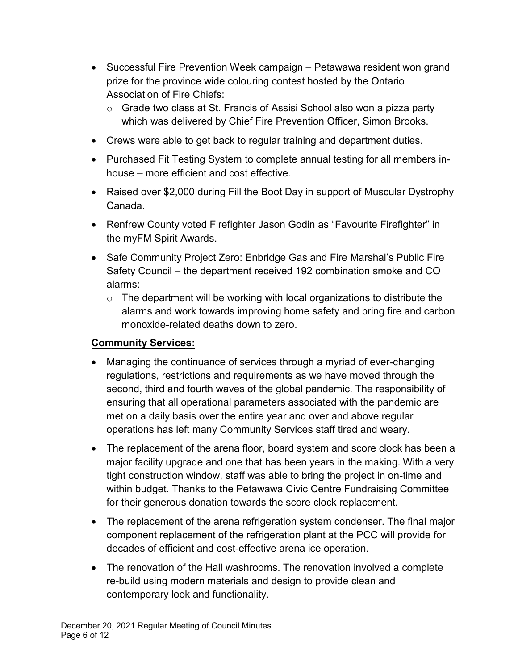- Successful Fire Prevention Week campaign Petawawa resident won grand prize for the province wide colouring contest hosted by the Ontario Association of Fire Chiefs:
	- o Grade two class at St. Francis of Assisi School also won a pizza party which was delivered by Chief Fire Prevention Officer, Simon Brooks.
- · Crews were able to get back to regular training and department duties.
- · Purchased Fit Testing System to complete annual testing for all members inhouse – more efficient and cost effective.
- · Raised over \$2,000 during Fill the Boot Day in support of Muscular Dystrophy Canada.
- · Renfrew County voted Firefighter Jason Godin as "Favourite Firefighter" in the myFM Spirit Awards.
- Safe Community Project Zero: Enbridge Gas and Fire Marshal's Public Fire Safety Council – the department received 192 combination smoke and CO alarms:
	- $\circ$  The department will be working with local organizations to distribute the alarms and work towards improving home safety and bring fire and carbon monoxide-related deaths down to zero.

# **Community Services:**

- Managing the continuance of services through a myriad of ever-changing regulations, restrictions and requirements as we have moved through the second, third and fourth waves of the global pandemic. The responsibility of ensuring that all operational parameters associated with the pandemic are met on a daily basis over the entire year and over and above regular operations has left many Community Services staff tired and weary.
- The replacement of the arena floor, board system and score clock has been a major facility upgrade and one that has been years in the making. With a very tight construction window, staff was able to bring the project in on-time and within budget. Thanks to the Petawawa Civic Centre Fundraising Committee for their generous donation towards the score clock replacement.
- The replacement of the arena refrigeration system condenser. The final major component replacement of the refrigeration plant at the PCC will provide for decades of efficient and cost-effective arena ice operation.
- The renovation of the Hall washrooms. The renovation involved a complete re-build using modern materials and design to provide clean and contemporary look and functionality.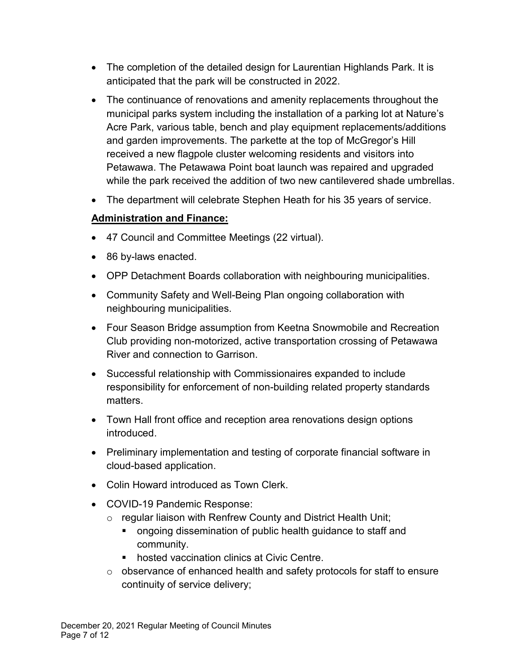- The completion of the detailed design for Laurentian Highlands Park. It is anticipated that the park will be constructed in 2022.
- · The continuance of renovations and amenity replacements throughout the municipal parks system including the installation of a parking lot at Nature's Acre Park, various table, bench and play equipment replacements/additions and garden improvements. The parkette at the top of McGregor's Hill received a new flagpole cluster welcoming residents and visitors into Petawawa. The Petawawa Point boat launch was repaired and upgraded while the park received the addition of two new cantilevered shade umbrellas.
- · The department will celebrate Stephen Heath for his 35 years of service.

# **Administration and Finance:**

- · 47 Council and Committee Meetings (22 virtual).
- · 86 by-laws enacted.
- · OPP Detachment Boards collaboration with neighbouring municipalities.
- · Community Safety and Well-Being Plan ongoing collaboration with neighbouring municipalities.
- · Four Season Bridge assumption from Keetna Snowmobile and Recreation Club providing non-motorized, active transportation crossing of Petawawa River and connection to Garrison.
- · Successful relationship with Commissionaires expanded to include responsibility for enforcement of non-building related property standards matters.
- · Town Hall front office and reception area renovations design options introduced.
- · Preliminary implementation and testing of corporate financial software in cloud-based application.
- · Colin Howard introduced as Town Clerk.
- · COVID-19 Pandemic Response:
	- o regular liaison with Renfrew County and District Health Unit;
		- ongoing dissemination of public health guidance to staff and community.
		- hosted vaccination clinics at Civic Centre.
	- $\circ$  observance of enhanced health and safety protocols for staff to ensure continuity of service delivery;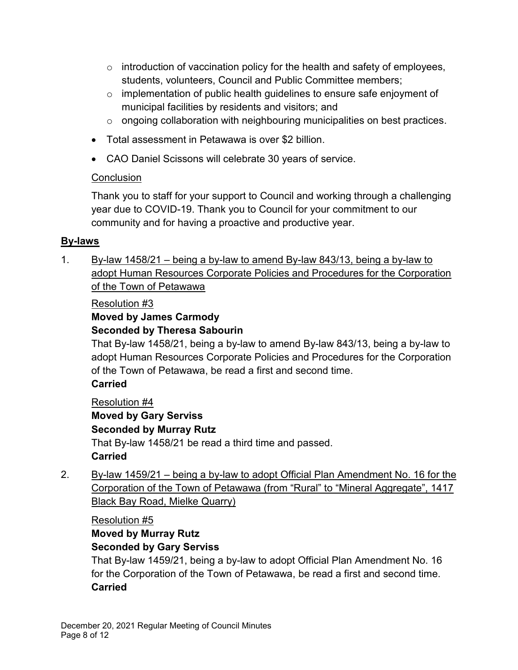- $\circ$  introduction of vaccination policy for the health and safety of employees, students, volunteers, Council and Public Committee members;
- $\circ$  implementation of public health guidelines to ensure safe enjoyment of municipal facilities by residents and visitors; and
- o ongoing collaboration with neighbouring municipalities on best practices.
- · Total assessment in Petawawa is over \$2 billion.
- · CAO Daniel Scissons will celebrate 30 years of service.

# **Conclusion**

Thank you to staff for your support to Council and working through a challenging year due to COVID-19. Thank you to Council for your commitment to our community and for having a proactive and productive year.

# **By-laws**

1. By-law  $1458/21$  – being a by-law to amend By-law 843/13, being a by-law to adopt Human Resources Corporate Policies and Procedures for the Corporation of the Town of Petawawa

# Resolution #3

#### **Moved by James Carmody Seconded by Theresa Sabourin**

That By-law 1458/21, being a by-law to amend By-law 843/13, being a by-law to adopt Human Resources Corporate Policies and Procedures for the Corporation of the Town of Petawawa, be read a first and second time.

# **Carried**

Resolution #4 **Moved by Gary Serviss Seconded by Murray Rutz** That By-law 1458/21 be read a third time and passed. **Carried**

2. By-law 1459/21 – being a by-law to adopt Official Plan Amendment No. 16 for the Corporation of the Town of Petawawa (from "Rural" to "Mineral Aggregate", 1417 Black Bay Road, Mielke Quarry)

Resolution #5

#### **Moved by Murray Rutz Seconded by Gary Serviss**

That By-law 1459/21, being a by-law to adopt Official Plan Amendment No. 16 for the Corporation of the Town of Petawawa, be read a first and second time. **Carried**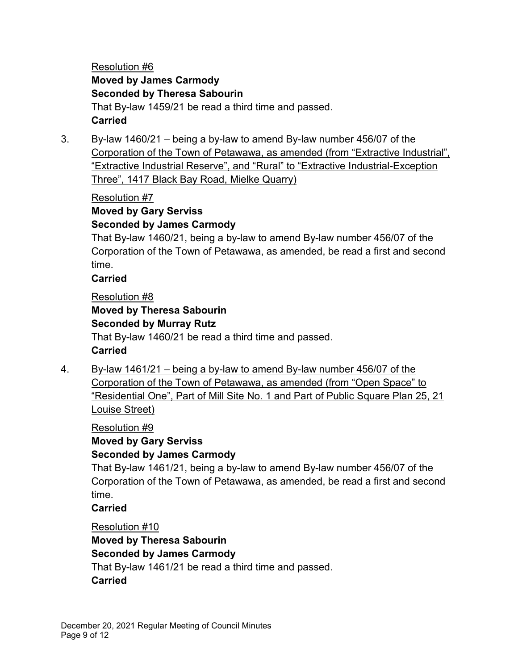## Resolution #6 **Moved by James Carmody Seconded by Theresa Sabourin** That By-law 1459/21 be read a third time and passed. **Carried**

3. By-law 1460/21 – being a by-law to amend By-law number 456/07 of the Corporation of the Town of Petawawa, as amended (from "Extractive Industrial", "Extractive Industrial Reserve", and "Rural" to "Extractive Industrial-Exception Three", 1417 Black Bay Road, Mielke Quarry)

Resolution #7

# **Moved by Gary Serviss**

#### **Seconded by James Carmody**

That By-law 1460/21, being a by-law to amend By-law number 456/07 of the Corporation of the Town of Petawawa, as amended, be read a first and second time.

#### **Carried**

#### Resolution #8

# **Moved by Theresa Sabourin Seconded by Murray Rutz** That By-law 1460/21 be read a third time and passed. **Carried**

4. By-law 1461/21 – being a by-law to amend By-law number 456/07 of the Corporation of the Town of Petawawa, as amended (from "Open Space" to "Residential One", Part of Mill Site No. 1 and Part of Public Square Plan 25, 21 Louise Street)

Resolution #9

**Moved by Gary Serviss Seconded by James Carmody**

That By-law 1461/21, being a by-law to amend By-law number 456/07 of the Corporation of the Town of Petawawa, as amended, be read a first and second time.

**Carried**

Resolution #10 **Moved by Theresa Sabourin Seconded by James Carmody** That By-law 1461/21 be read a third time and passed. **Carried**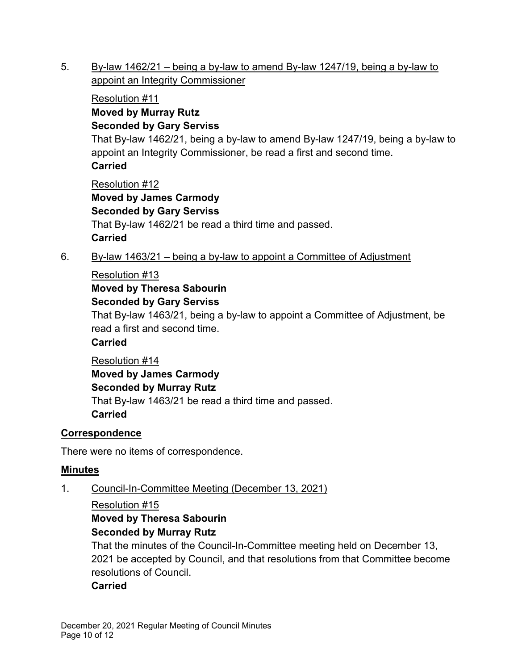5. By-law 1462/21 – being a by-law to amend By-law 1247/19, being a by-law to appoint an Integrity Commissioner

# Resolution #11 **Moved by Murray Rutz Seconded by Gary Serviss** That By-law 1462/21, being a by-law to amend By-law 1247/19, being a by-law to appoint an Integrity Commissioner, be read a first and second time. **Carried** Resolution #12 **Moved by James Carmody**

**Seconded by Gary Serviss** That By-law 1462/21 be read a third time and passed. **Carried**

6. By-law 1463/21 – being a by-law to appoint a Committee of Adjustment

# Resolution #13

**Moved by Theresa Sabourin**

## **Seconded by Gary Serviss**

That By-law 1463/21, being a by-law to appoint a Committee of Adjustment, be read a first and second time.

# **Carried**

Resolution #14

**Moved by James Carmody Seconded by Murray Rutz** That By-law 1463/21 be read a third time and passed. **Carried**

# **Correspondence**

There were no items of correspondence.

# **Minutes**

1. Council-In-Committee Meeting (December 13, 2021)

# Resolution #15

## **Moved by Theresa Sabourin Seconded by Murray Rutz**

That the minutes of the Council-In-Committee meeting held on December 13, 2021 be accepted by Council, and that resolutions from that Committee become resolutions of Council.

# **Carried**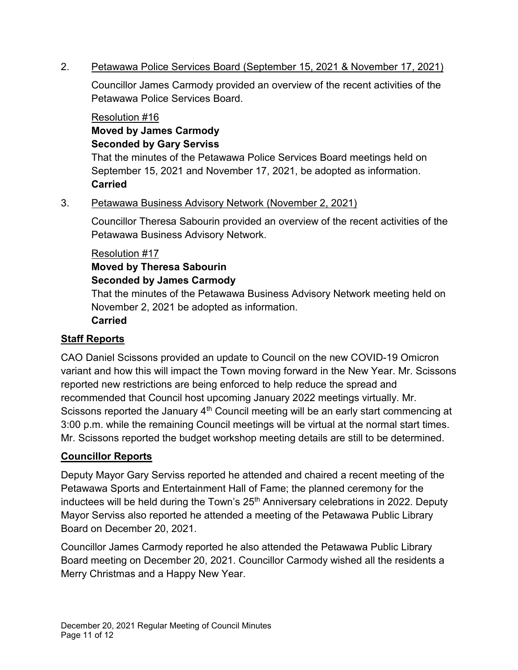#### 2. Petawawa Police Services Board (September 15, 2021 & November 17, 2021)

Councillor James Carmody provided an overview of the recent activities of the Petawawa Police Services Board.

#### Resolution #16 **Moved by James Carmody Seconded by Gary Serviss**

That the minutes of the Petawawa Police Services Board meetings held on September 15, 2021 and November 17, 2021, be adopted as information. **Carried**

#### 3. Petawawa Business Advisory Network (November 2, 2021)

Councillor Theresa Sabourin provided an overview of the recent activities of the Petawawa Business Advisory Network.

#### Resolution #17

# **Moved by Theresa Sabourin**

#### **Seconded by James Carmody**

That the minutes of the Petawawa Business Advisory Network meeting held on November 2, 2021 be adopted as information.

#### **Carried**

#### **Staff Reports**

CAO Daniel Scissons provided an update to Council on the new COVID-19 Omicron variant and how this will impact the Town moving forward in the New Year. Mr. Scissons reported new restrictions are being enforced to help reduce the spread and recommended that Council host upcoming January 2022 meetings virtually. Mr. Scissons reported the January  $4<sup>th</sup>$  Council meeting will be an early start commencing at 3:00 p.m. while the remaining Council meetings will be virtual at the normal start times. Mr. Scissons reported the budget workshop meeting details are still to be determined.

#### **Councillor Reports**

Deputy Mayor Gary Serviss reported he attended and chaired a recent meeting of the Petawawa Sports and Entertainment Hall of Fame; the planned ceremony for the inductees will be held during the Town's 25<sup>th</sup> Anniversary celebrations in 2022. Deputy Mayor Serviss also reported he attended a meeting of the Petawawa Public Library Board on December 20, 2021.

Councillor James Carmody reported he also attended the Petawawa Public Library Board meeting on December 20, 2021. Councillor Carmody wished all the residents a Merry Christmas and a Happy New Year.